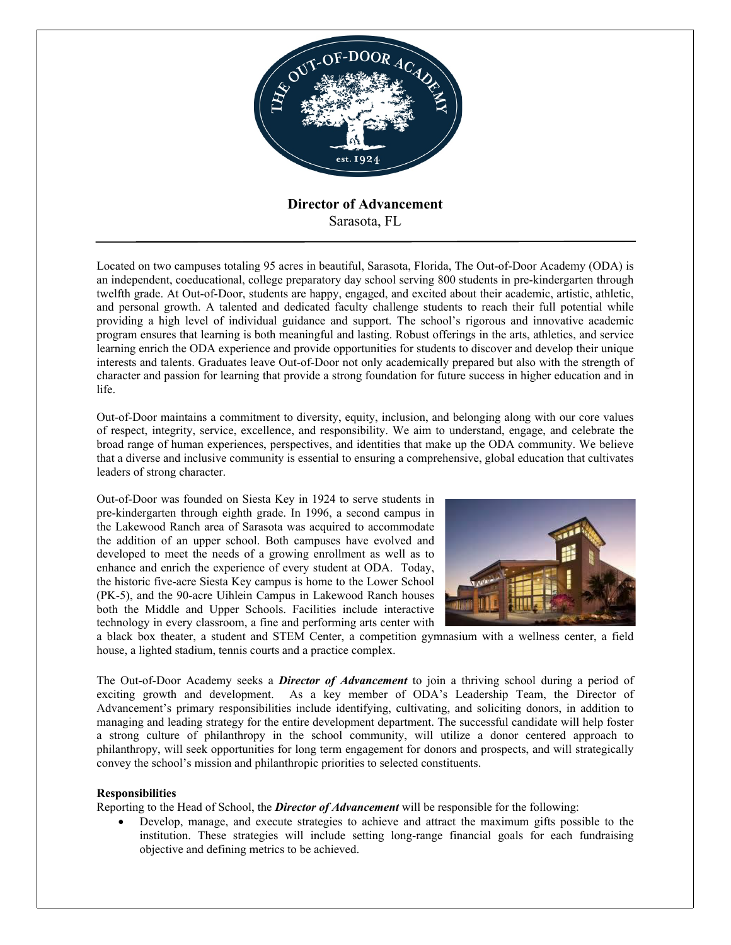

# **Director of Advancement** Sarasota, FL

Located on two campuses totaling 95 acres in beautiful, Sarasota, Florida, The Out-of-Door Academy (ODA) is an independent, coeducational, college preparatory day school serving 800 students in pre-kindergarten through twelfth grade. At Out-of-Door, students are happy, engaged, and excited about their academic, artistic, athletic, and personal growth. A talented and dedicated faculty challenge students to reach their full potential while providing a high level of individual guidance and support. The school's rigorous and innovative academic program ensures that learning is both meaningful and lasting. Robust offerings in the arts, athletics, and service learning enrich the ODA experience and provide opportunities for students to discover and develop their unique interests and talents. Graduates leave Out-of-Door not only academically prepared but also with the strength of character and passion for learning that provide a strong foundation for future success in higher education and in life.

Out-of-Door maintains a commitment to diversity, equity, inclusion, and belonging along with our core values of respect, integrity, service, excellence, and responsibility. We aim to understand, engage, and celebrate the broad range of human experiences, perspectives, and identities that make up the ODA community. We believe that a diverse and inclusive community is essential to ensuring a comprehensive, global education that cultivates leaders of strong character.

Out-of-Door was founded on Siesta Key in 1924 to serve students in pre-kindergarten through eighth grade. In 1996, a second campus in the Lakewood Ranch area of Sarasota was acquired to accommodate the addition of an upper school. Both campuses have evolved and developed to meet the needs of a growing enrollment as well as to enhance and enrich the experience of every student at ODA. Today, the historic five-acre Siesta Key campus is home to the Lower School (PK-5), and the 90-acre Uihlein Campus in Lakewood Ranch houses both the Middle and Upper Schools. Facilities include interactive technology in every classroom, a fine and performing arts center with



a black box theater, a student and STEM Center, a competition gymnasium with a wellness center, a field house, a lighted stadium, tennis courts and a practice complex.

The Out-of-Door Academy seeks a *Director of Advancement* to join a thriving school during a period of exciting growth and development. As a key member of ODA's Leadership Team, the Director of Advancement's primary responsibilities include identifying, cultivating, and soliciting donors, in addition to managing and leading strategy for the entire development department. The successful candidate will help foster a strong culture of philanthropy in the school community, will utilize a donor centered approach to philanthropy, will seek opportunities for long term engagement for donors and prospects, and will strategically convey the school's mission and philanthropic priorities to selected constituents.

### **Responsibilities**

Reporting to the Head of School, the *Director of Advancement* will be responsible for the following:

 Develop, manage, and execute strategies to achieve and attract the maximum gifts possible to the institution. These strategies will include setting long-range financial goals for each fundraising objective and defining metrics to be achieved.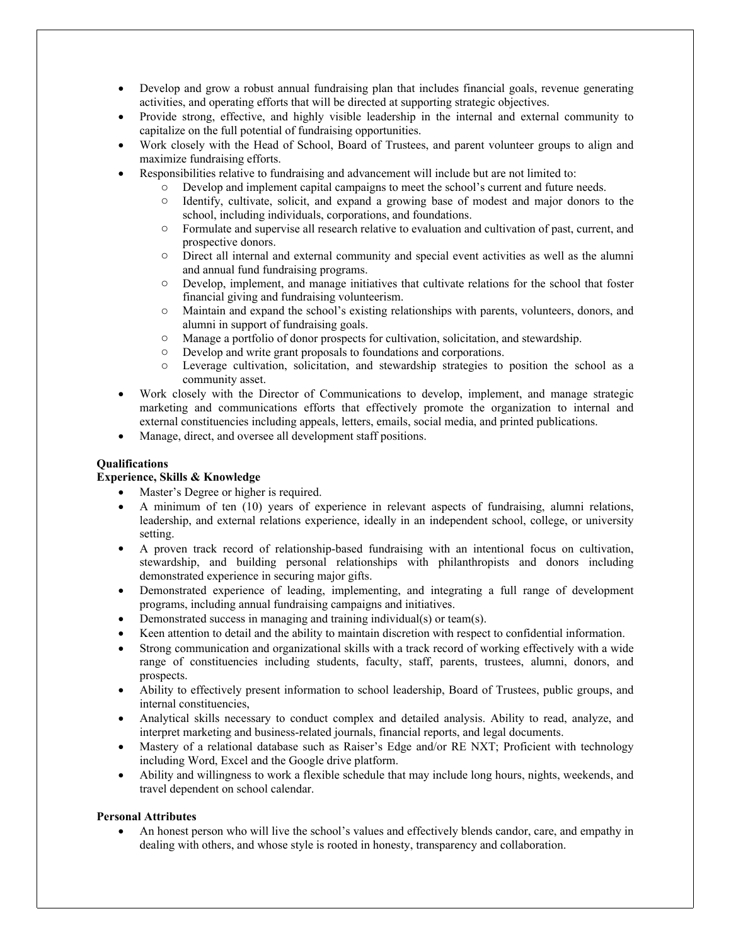- Develop and grow a robust annual fundraising plan that includes financial goals, revenue generating activities, and operating efforts that will be directed at supporting strategic objectives.
- Provide strong, effective, and highly visible leadership in the internal and external community to capitalize on the full potential of fundraising opportunities.
- Work closely with the Head of School, Board of Trustees, and parent volunteer groups to align and maximize fundraising efforts.
- Responsibilities relative to fundraising and advancement will include but are not limited to:
	- o Develop and implement capital campaigns to meet the school's current and future needs.
		- o Identify, cultivate, solicit, and expand a growing base of modest and major donors to the school, including individuals, corporations, and foundations.
		- o Formulate and supervise all research relative to evaluation and cultivation of past, current, and prospective donors.
		- o Direct all internal and external community and special event activities as well as the alumni and annual fund fundraising programs.
		- o Develop, implement, and manage initiatives that cultivate relations for the school that foster financial giving and fundraising volunteerism.
		- o Maintain and expand the school's existing relationships with parents, volunteers, donors, and alumni in support of fundraising goals.
		- o Manage a portfolio of donor prospects for cultivation, solicitation, and stewardship.
		- o Develop and write grant proposals to foundations and corporations.
		- o Leverage cultivation, solicitation, and stewardship strategies to position the school as a community asset.
- Work closely with the Director of Communications to develop, implement, and manage strategic marketing and communications efforts that effectively promote the organization to internal and external constituencies including appeals, letters, emails, social media, and printed publications.
- Manage, direct, and oversee all development staff positions.

## **Qualifications**

## **Experience, Skills & Knowledge**

- Master's Degree or higher is required.
- A minimum of ten (10) years of experience in relevant aspects of fundraising, alumni relations, leadership, and external relations experience, ideally in an independent school, college, or university setting.
- A proven track record of relationship-based fundraising with an intentional focus on cultivation, stewardship, and building personal relationships with philanthropists and donors including demonstrated experience in securing major gifts.
- Demonstrated experience of leading, implementing, and integrating a full range of development programs, including annual fundraising campaigns and initiatives.
- Demonstrated success in managing and training individual(s) or team(s).
- Keen attention to detail and the ability to maintain discretion with respect to confidential information.
- Strong communication and organizational skills with a track record of working effectively with a wide range of constituencies including students, faculty, staff, parents, trustees, alumni, donors, and prospects.
- Ability to effectively present information to school leadership, Board of Trustees, public groups, and internal constituencies,
- Analytical skills necessary to conduct complex and detailed analysis. Ability to read, analyze, and interpret marketing and business-related journals, financial reports, and legal documents.
- Mastery of a relational database such as Raiser's Edge and/or RE NXT; Proficient with technology including Word, Excel and the Google drive platform.
- Ability and willingness to work a flexible schedule that may include long hours, nights, weekends, and travel dependent on school calendar.

### **Personal Attributes**

 An honest person who will live the school's values and effectively blends candor, care, and empathy in dealing with others, and whose style is rooted in honesty, transparency and collaboration.